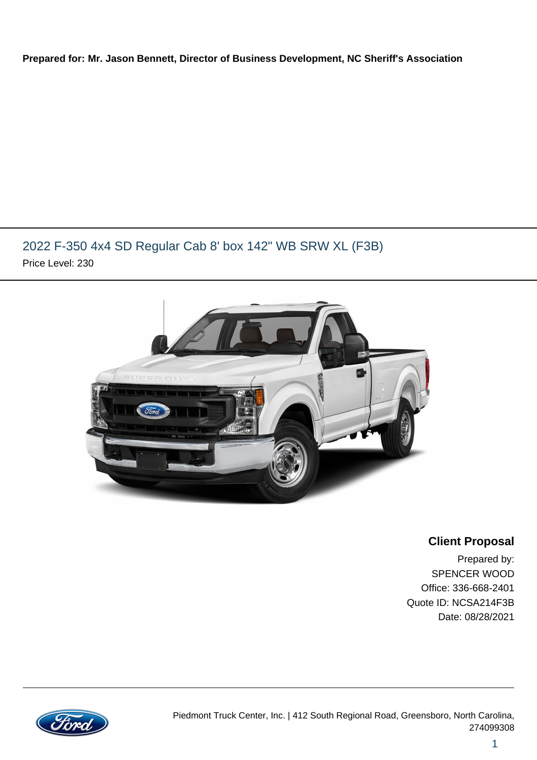#### **Prepared for: Mr. Jason Bennett, Director of Business Development, NC Sheriff's Association**

## 2022 F-350 4x4 SD Regular Cab 8' box 142" WB SRW XL (F3B) Price Level: 230



### **Client Proposal**

Prepared by: SPENCER WOOD Office: 336-668-2401 Quote ID: NCSA214F3B Date: 08/28/2021

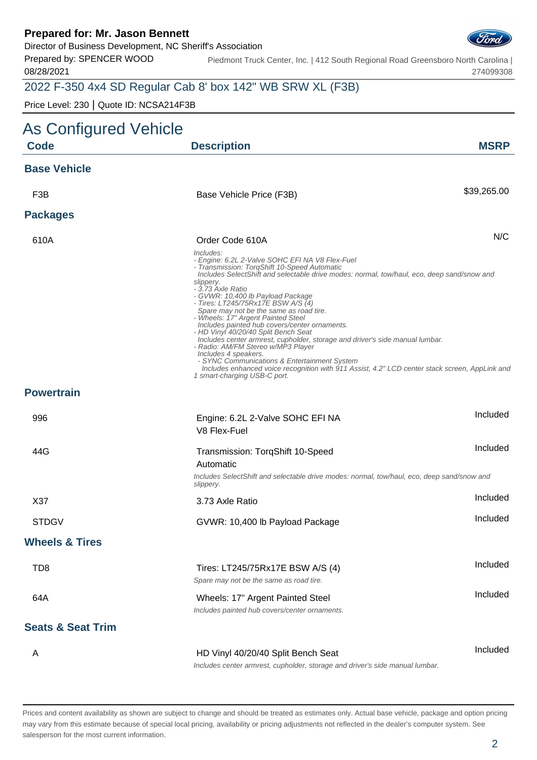Director of Business Development, NC Sheriff's Association

Prepared by: SPENCER WOOD 08/28/2021

Piedmont Truck Center, Inc. | 412 South Regional Road Greensboro North Carolina | 274099308

# 2022 F-350 4x4 SD Regular Cab 8' box 142" WB SRW XL (F3B)

Price Level: 230 | Quote ID: NCSA214F3B

| As Configured Vehicle        |                                                                                                                                                                                                                                                                                                                                                                                                                                                                                                                                                                                                                                                                                                                                                                                                                                   |             |
|------------------------------|-----------------------------------------------------------------------------------------------------------------------------------------------------------------------------------------------------------------------------------------------------------------------------------------------------------------------------------------------------------------------------------------------------------------------------------------------------------------------------------------------------------------------------------------------------------------------------------------------------------------------------------------------------------------------------------------------------------------------------------------------------------------------------------------------------------------------------------|-------------|
| <b>Code</b>                  | <b>Description</b>                                                                                                                                                                                                                                                                                                                                                                                                                                                                                                                                                                                                                                                                                                                                                                                                                | <b>MSRP</b> |
| <b>Base Vehicle</b>          |                                                                                                                                                                                                                                                                                                                                                                                                                                                                                                                                                                                                                                                                                                                                                                                                                                   |             |
| F <sub>3</sub> B             | Base Vehicle Price (F3B)                                                                                                                                                                                                                                                                                                                                                                                                                                                                                                                                                                                                                                                                                                                                                                                                          | \$39,265.00 |
| <b>Packages</b>              |                                                                                                                                                                                                                                                                                                                                                                                                                                                                                                                                                                                                                                                                                                                                                                                                                                   |             |
| 610A                         | Order Code 610A                                                                                                                                                                                                                                                                                                                                                                                                                                                                                                                                                                                                                                                                                                                                                                                                                   | N/C         |
|                              | Includes:<br>- Engine: 6.2L 2-Valve SOHC EFI NA V8 Flex-Fuel<br>- Transmission: TorqShift 10-Speed Automatic<br>Includes SelectShift and selectable drive modes: normal, tow/haul, eco, deep sand/snow and<br>slippery.<br>- 3.73 Axle Ratio<br>- GVWR: 10,400 lb Payload Package<br>- Tires: LT245/75Rx17E BSW A/S (4)<br>Spare may not be the same as road tire.<br>- Wheels: 17" Argent Painted Steel<br>Includes painted hub covers/center ornaments.<br>- HD Vinyl 40/20/40 Split Bench Seat<br>Includes center armrest, cupholder, storage and driver's side manual lumbar.<br>- Radio: AM/FM Stereo w/MP3 Player<br>Includes 4 speakers.<br>- SYNC Communications & Entertainment System<br>Includes enhanced voice recognition with 911 Assist, 4.2" LCD center stack screen, AppLink and<br>1 smart-charging USB-C port. |             |
| <b>Powertrain</b>            |                                                                                                                                                                                                                                                                                                                                                                                                                                                                                                                                                                                                                                                                                                                                                                                                                                   |             |
| 996                          | Engine: 6.2L 2-Valve SOHC EFI NA                                                                                                                                                                                                                                                                                                                                                                                                                                                                                                                                                                                                                                                                                                                                                                                                  | Included    |
|                              | V8 Flex-Fuel                                                                                                                                                                                                                                                                                                                                                                                                                                                                                                                                                                                                                                                                                                                                                                                                                      |             |
| 44G                          | Transmission: TorqShift 10-Speed                                                                                                                                                                                                                                                                                                                                                                                                                                                                                                                                                                                                                                                                                                                                                                                                  | Included    |
|                              | Automatic<br>Includes SelectShift and selectable drive modes: normal, tow/haul, eco, deep sand/snow and<br>slippery.                                                                                                                                                                                                                                                                                                                                                                                                                                                                                                                                                                                                                                                                                                              |             |
| X37                          | 3.73 Axle Ratio                                                                                                                                                                                                                                                                                                                                                                                                                                                                                                                                                                                                                                                                                                                                                                                                                   | Included    |
| <b>STDGV</b>                 | GVWR: 10,400 lb Payload Package                                                                                                                                                                                                                                                                                                                                                                                                                                                                                                                                                                                                                                                                                                                                                                                                   | Included    |
| <b>Wheels &amp; Tires</b>    |                                                                                                                                                                                                                                                                                                                                                                                                                                                                                                                                                                                                                                                                                                                                                                                                                                   |             |
| TD <sub>8</sub>              | Tires: LT245/75Rx17E BSW A/S (4)<br>Spare may not be the same as road tire.                                                                                                                                                                                                                                                                                                                                                                                                                                                                                                                                                                                                                                                                                                                                                       | Included    |
| 64A                          | Wheels: 17" Argent Painted Steel<br>Includes painted hub covers/center ornaments.                                                                                                                                                                                                                                                                                                                                                                                                                                                                                                                                                                                                                                                                                                                                                 | Included    |
| <b>Seats &amp; Seat Trim</b> |                                                                                                                                                                                                                                                                                                                                                                                                                                                                                                                                                                                                                                                                                                                                                                                                                                   |             |
| A                            | HD Vinyl 40/20/40 Split Bench Seat<br>Includes center armrest, cupholder, storage and driver's side manual lumbar.                                                                                                                                                                                                                                                                                                                                                                                                                                                                                                                                                                                                                                                                                                                | Included    |

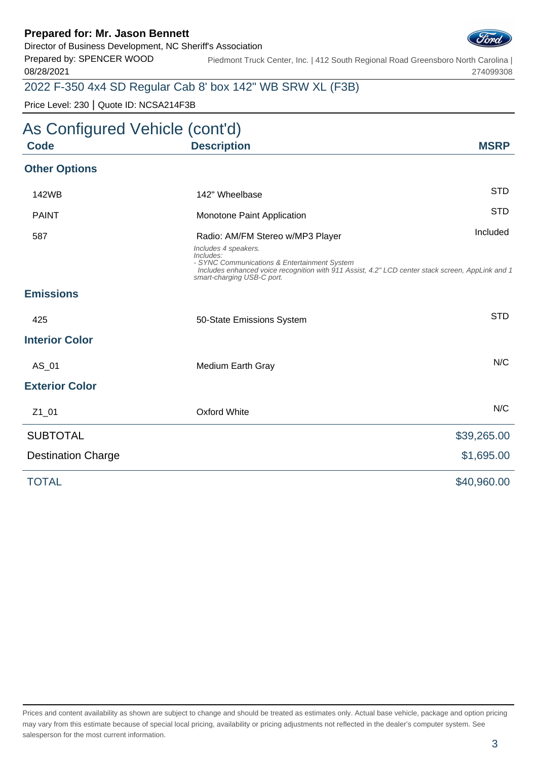Director of Business Development, NC Sheriff's Association

Prepared by: SPENCER WOOD 08/28/2021

Piedmont Truck Center, Inc. | 412 South Regional Road Greensboro North Carolina | 274099308

## 2022 F-350 4x4 SD Regular Cab 8' box 142" WB SRW XL (F3B)

Price Level: 230 | Quote ID: NCSA214F3B

# As Configured Vehicle (cont'd) **Code Description MSRP Other Options** 142WB 142" Wheelbase STD PAINT **STD** Monotone Paint Application 587 **Radio: AM/FM Stereo w/MP3 Player** Included Included Includes 4 speakers. Includes: - SYNC Communications & Entertainment System Includes enhanced voice recognition with 911 Assist, 4.2" LCD center stack screen, AppLink and 1 smart-charging USB-C port. **Emissions** 425 **50-State Emissions System** System STD **Interior Color** AS 01 Medium Earth Gray Note 2012 and 2012 MC **Exterior Color** Z1\_01 Oxford White N/C **SUBTOTAL** \$39,265.00 Destination Charge  $$1,695.00$ TOTAL \$40,960.00

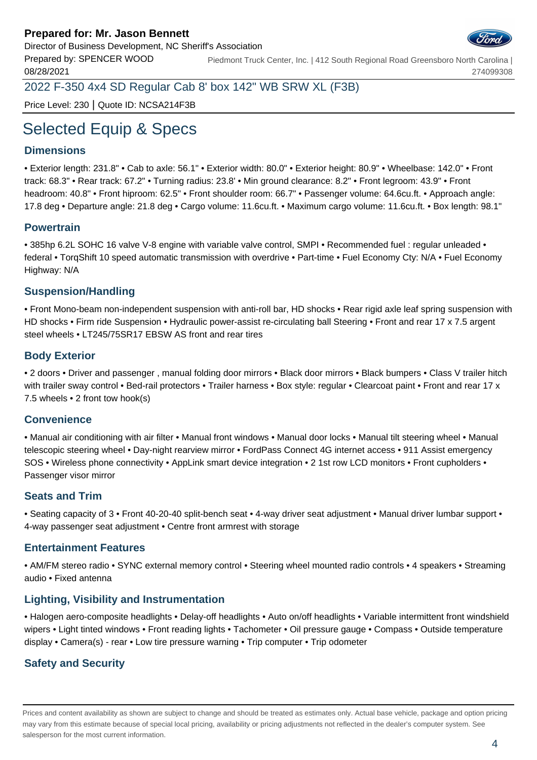

Prepared by: SPENCER WOOD 08/28/2021 Piedmont Truck Center, Inc. | 412 South Regional Road Greensboro North Carolina | 274099308

2022 F-350 4x4 SD Regular Cab 8' box 142" WB SRW XL (F3B)

Price Level: 230 | Quote ID: NCSA214F3B

# Selected Equip & Specs

#### **Dimensions**

• Exterior length: 231.8" • Cab to axle: 56.1" • Exterior width: 80.0" • Exterior height: 80.9" • Wheelbase: 142.0" • Front track: 68.3" • Rear track: 67.2" • Turning radius: 23.8' • Min ground clearance: 8.2" • Front legroom: 43.9" • Front headroom: 40.8" • Front hiproom: 62.5" • Front shoulder room: 66.7" • Passenger volume: 64.6cu.ft. • Approach angle: 17.8 deg • Departure angle: 21.8 deg • Cargo volume: 11.6cu.ft. • Maximum cargo volume: 11.6cu.ft. • Box length: 98.1"

#### **Powertrain**

• 385hp 6.2L SOHC 16 valve V-8 engine with variable valve control, SMPI • Recommended fuel : regular unleaded • federal • TorqShift 10 speed automatic transmission with overdrive • Part-time • Fuel Economy Cty: N/A • Fuel Economy Highway: N/A

#### **Suspension/Handling**

• Front Mono-beam non-independent suspension with anti-roll bar, HD shocks • Rear rigid axle leaf spring suspension with HD shocks • Firm ride Suspension • Hydraulic power-assist re-circulating ball Steering • Front and rear 17 x 7.5 argent steel wheels • LT245/75SR17 EBSW AS front and rear tires

#### **Body Exterior**

• 2 doors • Driver and passenger , manual folding door mirrors • Black door mirrors • Black bumpers • Class V trailer hitch with trailer sway control • Bed-rail protectors • Trailer harness • Box style: regular • Clearcoat paint • Front and rear 17 x 7.5 wheels • 2 front tow hook(s)

#### **Convenience**

• Manual air conditioning with air filter • Manual front windows • Manual door locks • Manual tilt steering wheel • Manual telescopic steering wheel • Day-night rearview mirror • FordPass Connect 4G internet access • 911 Assist emergency SOS • Wireless phone connectivity • AppLink smart device integration • 2 1st row LCD monitors • Front cupholders • Passenger visor mirror

#### **Seats and Trim**

• Seating capacity of 3 • Front 40-20-40 split-bench seat • 4-way driver seat adjustment • Manual driver lumbar support • 4-way passenger seat adjustment • Centre front armrest with storage

#### **Entertainment Features**

• AM/FM stereo radio • SYNC external memory control • Steering wheel mounted radio controls • 4 speakers • Streaming audio • Fixed antenna

#### **Lighting, Visibility and Instrumentation**

• Halogen aero-composite headlights • Delay-off headlights • Auto on/off headlights • Variable intermittent front windshield wipers • Light tinted windows • Front reading lights • Tachometer • Oil pressure gauge • Compass • Outside temperature display • Camera(s) - rear • Low tire pressure warning • Trip computer • Trip odometer

### **Safety and Security**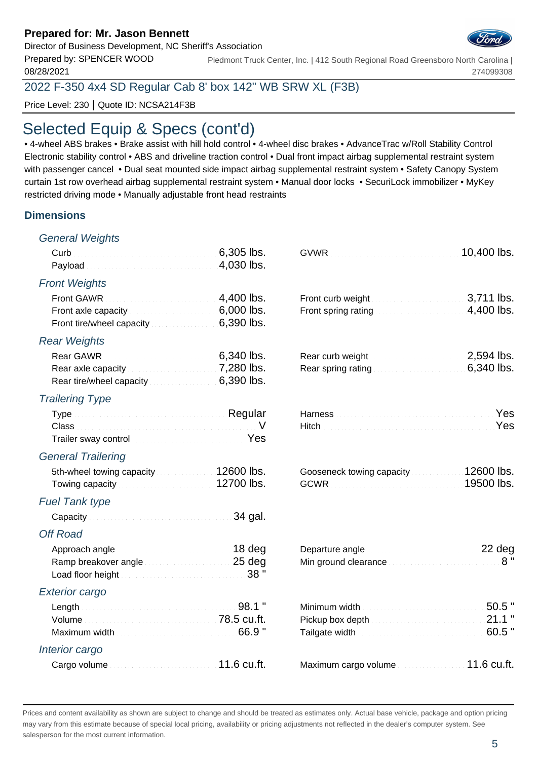#### Director of Business Development, NC Sheriff's Association

Prepared by: SPENCER WOOD 08/28/2021

2022 F-350 4x4 SD Regular Cab 8' box 142" WB SRW XL (F3B)

Price Level: 230 | Quote ID: NCSA214F3B

# Selected Equip & Specs (cont'd)

• 4-wheel ABS brakes • Brake assist with hill hold control • 4-wheel disc brakes • AdvanceTrac w/Roll Stability Control Electronic stability control • ABS and driveline traction control • Dual front impact airbag supplemental restraint system with passenger cancel • Dual seat mounted side impact airbag supplemental restraint system • Safety Canopy System curtain 1st row overhead airbag supplemental restraint system • Manual door locks • SecuriLock immobilizer • MyKey restricted driving mode • Manually adjustable front head restraints

#### **Dimensions**

| <b>General Weights</b>                                                                                                                                 |            |                                                              |             |
|--------------------------------------------------------------------------------------------------------------------------------------------------------|------------|--------------------------------------------------------------|-------------|
|                                                                                                                                                        | 6,305 lbs. |                                                              | 10,400 lbs. |
|                                                                                                                                                        |            |                                                              |             |
| <b>Front Weights</b>                                                                                                                                   |            |                                                              |             |
| Front GAWR                                                                                                                                             | 4,400 lbs. |                                                              | 3,711 lbs.  |
| Front axle capacity <b>Exercise 2.1 Front axle capacity</b> 1.1 Fig. 1.1 <b>6,000 lbs.</b><br>Front tire/wheel capacity <b>Example 2014</b> 6,390 lbs. |            |                                                              | 4,400 lbs.  |
| <b>Rear Weights</b>                                                                                                                                    |            |                                                              |             |
|                                                                                                                                                        |            | Rear curb weight <b>Exercise 2.594</b> lbs.                  |             |
| Rear axle capacity <b>Exercise 2008</b> T,280 lbs.<br>Rear tire/wheel capacity 6,390 lbs.                                                              |            | Rear spring rating <b>Exercise 2008</b> Contact 2008.        |             |
| <b>Trailering Type</b>                                                                                                                                 |            |                                                              |             |
| Type Manual Communication Regular                                                                                                                      |            |                                                              | Yes         |
| Trailer sway control manuscripture and Yes                                                                                                             |            | Hitch News Manual Communication of the Mes                   |             |
|                                                                                                                                                        |            |                                                              |             |
| <b>General Trailering</b>                                                                                                                              |            |                                                              |             |
| 5th-wheel towing capacity <b>State of 12600 lbs.</b><br>Towing capacity <b>Constitution Constructs</b> 12700 lbs.                                      |            | Gooseneck towing capacity 12600 lbs.                         | 19500 lbs.  |
| <b>Fuel Tank type</b>                                                                                                                                  |            |                                                              |             |
| Capacity Capacity 34 gal.                                                                                                                              |            |                                                              |             |
| <b>Off Road</b>                                                                                                                                        |            |                                                              |             |
| Approach angle <b>contract and all angles</b> 18 deg                                                                                                   |            | Departure angle <b>continuum and all the Departure angle</b> |             |
| Ramp breakover angle manuscriptures 25 deg<br>Load floor height Material Account 28 "                                                                  |            | Min ground clearance <b>Committee Committee B</b> "          |             |
| <b>Exterior cargo</b>                                                                                                                                  |            |                                                              |             |
| Length 98.1 "                                                                                                                                          |            |                                                              | $50.5$ "    |
|                                                                                                                                                        |            |                                                              | 21.1        |
| Maximum width Maximum Maximum Maximum width Maximum Maximum Maximum Maximum Maximum Maximum Maximum M                                                  |            |                                                              | $.60.5$ "   |
| Interior cargo                                                                                                                                         |            |                                                              |             |
|                                                                                                                                                        |            | Maximum cargo volume <b>contains a state of 11.6 cu.ft.</b>  |             |

Piedmont Truck Center, Inc. | 412 South Regional Road Greensboro North Carolina | 274099308

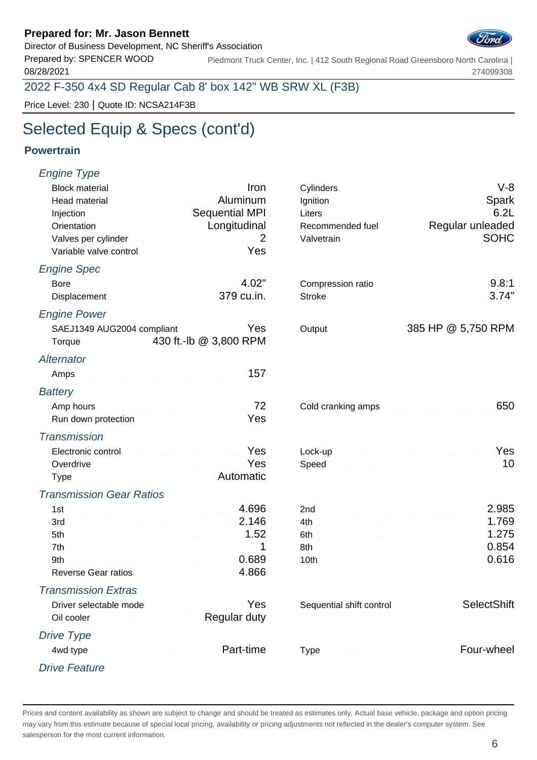Director of Business Development, NC Sheriff's Association

08/28/2021

Prepared by: SPENCER WOOD Piedmont Truck Center, Inc. | 412 South Regional Road Greensboro North Carolina | 274099308

### 2022 F-350 4x4 SD Regular Cab 8' box 142" WB SRW XL (F3B)

Price Level: 230 | Quote ID: NCSA214F3B

# Selected Equip & Specs (cont'd)

#### **Powertrain**

## Engine Type Block material **Iron** Cylinders V-8 and Cylinders V-8 and Cylinders V-8 and Cylinders V-8 and Cylinders V-8 and Cylinders V-8 and Cylinders V-8 and Cylinders V-8 and Cylinders V-8 and Cylinders Cylinders V-8 and Cylinders Head material Aluminum Ignition Spark Aluminum Injection **Sequential MPI** Orientation **Longitudinal** Valves per cylinder 2 2 Valvetrain South South South South South South South South South South South South South South South South South South South South South South South South South South South South South South South S Variable valve control Material Account of Vest Engine Spec Bore 4.02" Displacement 379 cu.in. Engine Power SAEJ1349 AUG2004 compliant **August 285 HP 265** Torque 430 ft.-lb @ 3,800 RPM **Alternator** Amps 157 **Battery** Amp hours **conditions** and cold cold cranking amps 6500  $\overline{72}$ Run down protection Material Account of the Yes **Transmission** Electronic control Control Content Content of Ves Overdrive Material Account of the Speed 100 Mess Type Automatic Automatic Automatic Transmission Gear Ratios 1st 2.696 3rd 2.146 5th 2.000 million 1.52 7th 1 8th 0.854 9th 0.689 Reverse Gear ratios **1998** Reverse 1.866 Transmission Extras Driver selectable mode Oil cooler Regular duty Drive Type 4wd type **Four-wheeler Four-wheeler Part-time** Drive Feature

| Recommended fuel <b>Regular unleaded</b> |  |
|------------------------------------------|--|
|                                          |  |

| Compression ratio 9.8:1 |  |
|-------------------------|--|
| Stroke 3.74"            |  |
|                         |  |

|  | 385 HP @ 5,750 RPM |
|--|--------------------|
|  |                    |

| Cold cranking amps and all collections are also been also been also been also been also been also been also be |  |
|----------------------------------------------------------------------------------------------------------------|--|
|----------------------------------------------------------------------------------------------------------------|--|

| Lock-up Nessen and Contract the Contract of Contract of Contract of Contract of Contract of Contract of Contract of Contract of Contract of Contract of Contract of Contract of Contract of Contract of Contract of Contract o |  |
|--------------------------------------------------------------------------------------------------------------------------------------------------------------------------------------------------------------------------------|--|
|                                                                                                                                                                                                                                |  |

| 2.985            |  |
|------------------|--|
|                  |  |
| 6th <b>1.275</b> |  |
|                  |  |
|                  |  |

| Sequential shift control SelectShift                                                                                                                                                                                               |  |  |
|------------------------------------------------------------------------------------------------------------------------------------------------------------------------------------------------------------------------------------|--|--|
|                                                                                                                                                                                                                                    |  |  |
| Type <b>Constitution of the County of Type County County County County County County County County County County County County County County County County County County County County County County County County County Coun</b> |  |  |

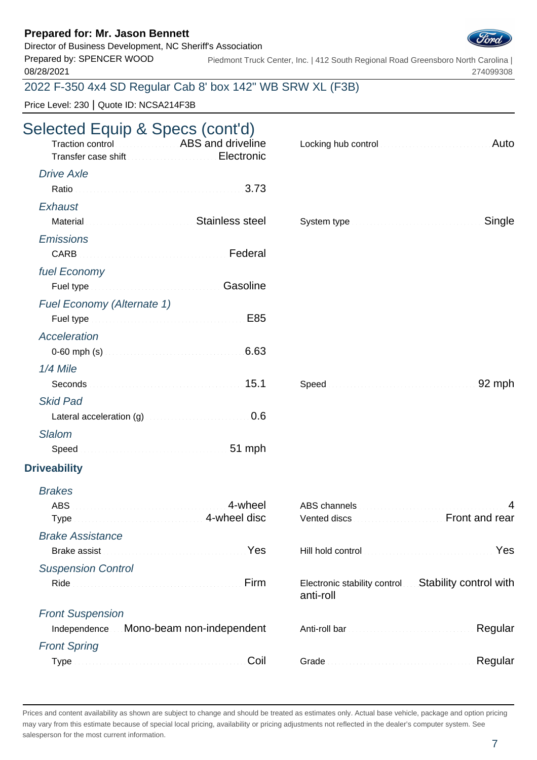### Director of Business Development, NC Sheriff's Association

Prepared by: SPENCER WOOD 08/28/2021

Piedmont Truck Center, Inc. | 412 South Regional Road Greensboro North Carolina | 274099308

## 2022 F-350 4x4 SD Regular Cab 8' box 142" WB SRW XL (F3B)

Price Level: 230 | Quote ID: NCSA214F3B

# Selected Equip & Specs (cont'd)

| $\frac{1}{2}$<br>Traction control <b>Traction</b> Control <b>Traction</b> Control <b>ABS</b> and driveline | Auto                                                                                                                                                                                                                                      |
|------------------------------------------------------------------------------------------------------------|-------------------------------------------------------------------------------------------------------------------------------------------------------------------------------------------------------------------------------------------|
| <b>Drive Axle</b>                                                                                          |                                                                                                                                                                                                                                           |
| Ratio 2.73                                                                                                 |                                                                                                                                                                                                                                           |
| Exhaust<br>Material Material Anti-Action Activities Stainless steel                                        | Single                                                                                                                                                                                                                                    |
| <b>Emissions</b><br><b>CARB</b>                                                                            |                                                                                                                                                                                                                                           |
| fuel Economy                                                                                               |                                                                                                                                                                                                                                           |
| Fuel type <b>Manual Community</b> Casoline                                                                 |                                                                                                                                                                                                                                           |
| <b>Fuel Economy (Alternate 1)</b>                                                                          |                                                                                                                                                                                                                                           |
| E85                                                                                                        |                                                                                                                                                                                                                                           |
| <b>Acceleration</b>                                                                                        |                                                                                                                                                                                                                                           |
|                                                                                                            |                                                                                                                                                                                                                                           |
| 1/4 Mile                                                                                                   |                                                                                                                                                                                                                                           |
|                                                                                                            | 92 mph                                                                                                                                                                                                                                    |
| <b>Skid Pad</b>                                                                                            |                                                                                                                                                                                                                                           |
| 0.6<br>Lateral acceleration (g)                                                                            |                                                                                                                                                                                                                                           |
| <b>Slalom</b>                                                                                              |                                                                                                                                                                                                                                           |
| Speed <b>Speed Speed Speed Speed Speed Speed Speed Speed Speed Speed </b>                                  |                                                                                                                                                                                                                                           |
| <b>Driveability</b>                                                                                        |                                                                                                                                                                                                                                           |
| <b>Brakes</b>                                                                                              |                                                                                                                                                                                                                                           |
| 4-wheel<br><b>ABS</b><br>Type manufacturers and 4-wheel disc                                               | 4<br>Vented discs <b>Exercise Controllering Controllering Controllering Controllering Controllering Controllering Controllering Controllering Controllering Controllering Controllering Controllering Controllering Controllering Con</b> |
| <b>Brake Assistance</b>                                                                                    |                                                                                                                                                                                                                                           |
| Yes<br>Brake assist                                                                                        | Yes                                                                                                                                                                                                                                       |
| <b>Suspension Control</b>                                                                                  |                                                                                                                                                                                                                                           |
| Firm                                                                                                       | Electronic stability control Stability control with<br>anti-roll                                                                                                                                                                          |
| <b>Front Suspension</b>                                                                                    |                                                                                                                                                                                                                                           |
| Independence Mono-beam non-independent                                                                     | Regular                                                                                                                                                                                                                                   |
| <b>Front Spring</b>                                                                                        |                                                                                                                                                                                                                                           |
| Coil                                                                                                       | Regular                                                                                                                                                                                                                                   |

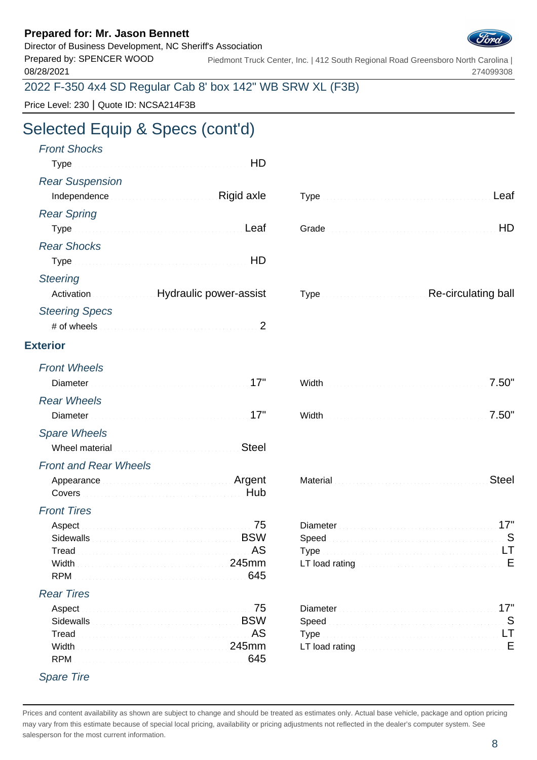### Director of Business Development, NC Sheriff's Association



Prepared by: SPENCER WOOD 08/28/2021 Piedmont Truck Center, Inc. | 412 South Regional Road Greensboro North Carolina | 274099308

2022 F-350 4x4 SD Regular Cab 8' box 142" WB SRW XL (F3B)

Price Level: 230 | Quote ID: NCSA214F3B

# Selected Equip & Specs (cont'd)

| <b>Front Shocks</b><br>HD                                                                                                                                                                |                                                                                                                                                                                                                                      |
|------------------------------------------------------------------------------------------------------------------------------------------------------------------------------------------|--------------------------------------------------------------------------------------------------------------------------------------------------------------------------------------------------------------------------------------|
| <b>Rear Suspension</b><br>Independence <b>Manual Community</b> Rigid axle                                                                                                                | Leaf                                                                                                                                                                                                                                 |
| <b>Rear Spring</b>                                                                                                                                                                       |                                                                                                                                                                                                                                      |
| <b>Rear Shocks</b>                                                                                                                                                                       |                                                                                                                                                                                                                                      |
| <b>Steering</b><br>Activation Museum Hydraulic power-assist                                                                                                                              | Type <b>Type Example 2014</b> Re-circulating ball                                                                                                                                                                                    |
| <b>Steering Specs</b>                                                                                                                                                                    |                                                                                                                                                                                                                                      |
| <b>Exterior</b>                                                                                                                                                                          |                                                                                                                                                                                                                                      |
| <b>Front Wheels</b><br>17"<br>Diameter                                                                                                                                                   | 7.50"                                                                                                                                                                                                                                |
| <b>Rear Wheels</b>                                                                                                                                                                       | 7.50"                                                                                                                                                                                                                                |
| <b>Spare Wheels</b><br><b>Steel</b><br>Wheel material continuum and the continuum of the continuum of the continuum of the continuum of the continuum                                    |                                                                                                                                                                                                                                      |
| <b>Front and Rear Wheels</b><br>Appearance Material Communication of Argent                                                                                                              | Steel                                                                                                                                                                                                                                |
| <b>Front Tires</b><br>Aspect.<br>Sidewalls <b>EXAMPLE 2019</b> Sidewalls <b>EXAMPLE 2019</b><br>Tread<br><u>245mm 245mm</u><br>Width<br>645<br><b>RPM</b>                                | LT load rating <b>Exercise Contract Contract Contract Contract Contract Contract Contract Contract Contract Contract Contract Contract Contract Contract Contract Contract Contract Contract Contract Contract Contract Contract</b> |
| <b>Rear Tires</b><br>75<br>Aspect<br><b>BSW</b><br><b>Sidewalls</b><br>.AS<br>Tread<br><u> 1998 - Paris Paris III, primari e populari e 1998 - 245 mm </u><br>Width<br>645<br><b>RPM</b> | 17"<br>. S<br>Speed<br>LT load rating <b>Committee Committee Committee Committee Committee Committee Committee</b>                                                                                                                   |

Spare Tire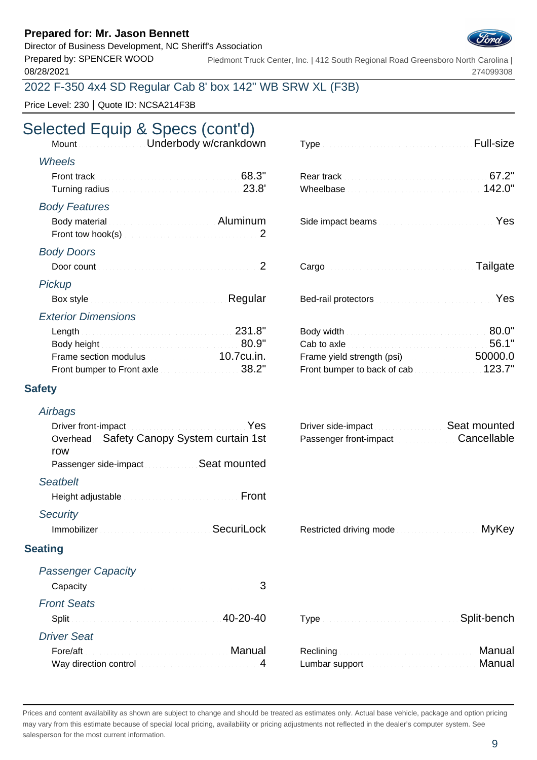Director of Business Development, NC Sheriff's Association

Prepared by: SPENCER WOOD 08/28/2021

Piedmont Truck Center, Inc. | 412 South Regional Road Greensboro North Carolina | 274099308

## 2022 F-350 4x4 SD Regular Cab 8' box 142" WB SRW XL (F3B)

Price Level: 230 | Quote ID: NCSA214F3B

# Selected Equip & Specs (cont'd)

| Mount                | Underbody w/crankdown                                                                                                                                                                                                                | Full-size       |
|----------------------|--------------------------------------------------------------------------------------------------------------------------------------------------------------------------------------------------------------------------------------|-----------------|
| <b>Wheels</b>        |                                                                                                                                                                                                                                      |                 |
| Front track          | 68.3"<br>23.8'                                                                                                                                                                                                                       | 67.2"<br>142.0" |
| <b>Body Features</b> | Body material <b>Executive Control Control Control Control Control Control Control Control Control Control Control Control Control Control Control Control Control Control Control Control Control Control Control Control Contr</b> | Yes             |
| <b>Body Doors</b>    |                                                                                                                                                                                                                                      | Tailgate        |
| Pickup<br>Box style  | Regular                                                                                                                                                                                                                              | Yes             |

#### Exterior Dimensions

|                                                          | Cab to axle <b>Exercise 2.1</b> 56.1" |  |
|----------------------------------------------------------|---------------------------------------|--|
| Frame section modulus <b>Example 2018</b> 10.7cu.in.     | Frame yield strength (psi)            |  |
| Front bumper to Front axle <b>Election Contract 2001</b> | Front bumper to back of cab           |  |

#### **Safety**

#### **Airbags**

| Driver front-impact <b>Executive Contract Contract Press</b> |  |
|--------------------------------------------------------------|--|
| Overhead. Safety Canopy System curtain 1st                   |  |
| row                                                          |  |
| Passenger side-impact Seat mounted                           |  |
| <b>Seatbelt</b>                                              |  |
| Height adjustable <b>Express Community</b> Front             |  |
| <b>Security</b>                                              |  |
| Immobilizer SecuriLock                                       |  |

## Driver side-impact Seat mounted Passenger front-impact Cancellable

| Immobilizer Manuel Manuel Manuel Controller SecuriLock |  | Restricted driving mode | <u> MyKey : MyKey : Milliam MyKey</u> |
|--------------------------------------------------------|--|-------------------------|---------------------------------------|
|--------------------------------------------------------|--|-------------------------|---------------------------------------|

#### **Seating**

| <b>Passenger Capacity</b>                |                                                                                                                           |        |
|------------------------------------------|---------------------------------------------------------------------------------------------------------------------------|--------|
| Capacity <b>Executive Capacity</b> 3     |                                                                                                                           |        |
| <b>Front Seats</b>                       |                                                                                                                           |        |
| Split 20-20-40                           | Type <b>Committee Committee Committee Committee Committee Committee Committee Committee Committee Committee Committee</b> |        |
| <b>Driver Seat</b>                       |                                                                                                                           |        |
|                                          |                                                                                                                           | Manual |
| Way direction control measurements and 4 |                                                                                                                           | Manual |

| umbar support <b>contract to the contract of the Manual</b> |  |  |
|-------------------------------------------------------------|--|--|

Prices and content availability as shown are subject to change and should be treated as estimates only. Actual base vehicle, package and option pricing may vary from this estimate because of special local pricing, availability or pricing adjustments not reflected in the dealer's computer system. See salesperson for the most current information.



| Cargo <b>Cargo Access Contract Contract of Tailgate</b> |  |
|---------------------------------------------------------|--|
|---------------------------------------------------------|--|

| ed-rail protectors <b>Constitution Constitution</b> Yes |  |  |  |  |  |  |  |  |  |  |  |  |  |  |  |  |  |
|---------------------------------------------------------|--|--|--|--|--|--|--|--|--|--|--|--|--|--|--|--|--|
|---------------------------------------------------------|--|--|--|--|--|--|--|--|--|--|--|--|--|--|--|--|--|

|                                                          | Body width <b>Election Contract Contract of SO.0"</b>        |  |
|----------------------------------------------------------|--------------------------------------------------------------|--|
|                                                          | Cab to axle <b>Exercise Exercise Cab</b> to axle <b>56.1</b> |  |
| Frame section modulus expression and 10.7cu.in.          | Frame yield strength (psi)                                   |  |
| Front bumper to Front axle $\ldots$ . The set of $38.2"$ | Front bumper to back of cab                                  |  |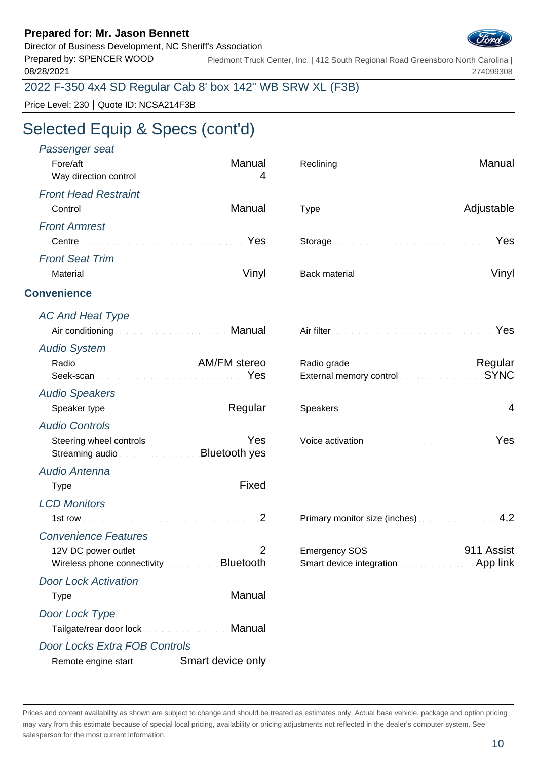Director of Business Development, NC Sheriff's Association

Prepared by: SPENCER WOOD 08/28/2021

Piedmont Truck Center, Inc. | 412 South Regional Road Greensboro North Carolina | 274099308

## 2022 F-350 4x4 SD Regular Cab 8' box 142" WB SRW XL (F3B)

Price Level: 230 | Quote ID: NCSA214F3B

# Selected Equip & Specs (cont'd)

| Passenger seat                                                                                                                                                                                                                 |                                                                                                             |
|--------------------------------------------------------------------------------------------------------------------------------------------------------------------------------------------------------------------------------|-------------------------------------------------------------------------------------------------------------|
| Manual Manual Albert Manual Manual<br>Fore/aft                                                                                                                                                                                 | Manual<br>Reclining <b>Electronic Community</b>                                                             |
| Way direction control material control and the state of the state of 4                                                                                                                                                         |                                                                                                             |
| <b>Front Head Restraint</b>                                                                                                                                                                                                    |                                                                                                             |
| Control Control Control Control Control Control Control Control Control Control Control Control Control Control Control Control Control Control Control Control Control Control Control Control Control Control Control Contro | Adjustable                                                                                                  |
| <b>Front Armrest</b>                                                                                                                                                                                                           |                                                                                                             |
| Centre Contra Communication of the Centre of Test                                                                                                                                                                              | Yes                                                                                                         |
| <b>Front Seat Trim</b>                                                                                                                                                                                                         |                                                                                                             |
| Vinyl                                                                                                                                                                                                                          | Vinyl                                                                                                       |
| <b>Convenience</b>                                                                                                                                                                                                             |                                                                                                             |
| <b>AC And Heat Type</b>                                                                                                                                                                                                        |                                                                                                             |
| Air conditioning <b>Air Conditioning Air Conditioning</b>                                                                                                                                                                      | Air filter <b>Manual Air filter Manual Air filter</b>                                                       |
| <b>Audio System</b>                                                                                                                                                                                                            |                                                                                                             |
| Radio Radio AM/FM stereo                                                                                                                                                                                                       | Radio grade <b>Material Communication</b> Regular                                                           |
|                                                                                                                                                                                                                                | External memory control <b>External Memory Control</b>                                                      |
| <b>Audio Speakers</b>                                                                                                                                                                                                          |                                                                                                             |
| Speaker type <b>Executive Speaker</b> type                                                                                                                                                                                     |                                                                                                             |
| <b>Audio Controls</b>                                                                                                                                                                                                          |                                                                                                             |
| Steering wheel controls <b>Steering</b> Wes<br>Streaming audio                                                                                                                                                                 | Voice activation <b>Material Contract of Australian Press</b>                                               |
| Audio Antenna                                                                                                                                                                                                                  |                                                                                                             |
| Type Manuscript Allen Bixed Fixed                                                                                                                                                                                              |                                                                                                             |
| <b>LCD Monitors</b>                                                                                                                                                                                                            |                                                                                                             |
|                                                                                                                                                                                                                                | 4.2<br>Primary monitor size (inches)                                                                        |
| <b>Convenience Features</b>                                                                                                                                                                                                    |                                                                                                             |
| 12V DC power outlet <b>Constitution of the CO</b> 2<br>Wireless phone connectivity <b>Exercise 2018</b> Bluetooth                                                                                                              | Emergency SOS <b>CONSUMERING SOS</b> 311 Assist<br>Smart device integration <b>Smart device integration</b> |
| <b>Door Lock Activation</b>                                                                                                                                                                                                    |                                                                                                             |
| Manual                                                                                                                                                                                                                         |                                                                                                             |
| Door Lock Type                                                                                                                                                                                                                 |                                                                                                             |
| Manual                                                                                                                                                                                                                         |                                                                                                             |
| <b>Door Locks Extra FOB Controls</b>                                                                                                                                                                                           |                                                                                                             |
| Remote engine start Smart device only                                                                                                                                                                                          |                                                                                                             |

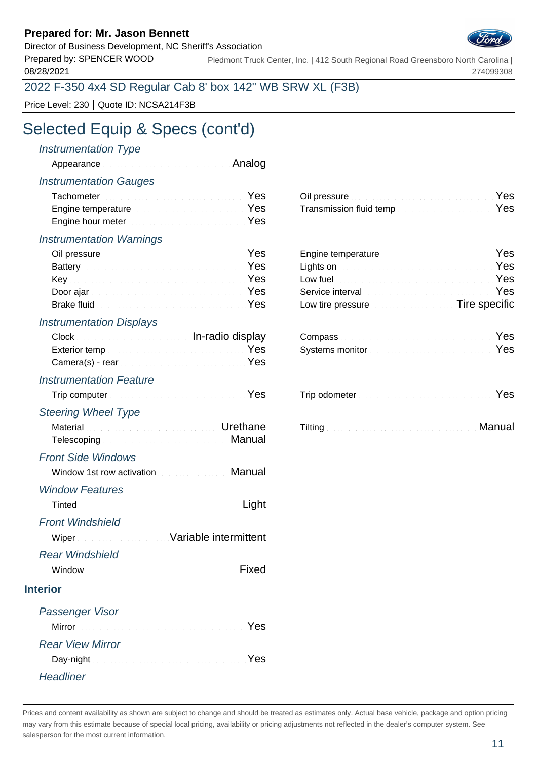Director of Business Development, NC Sheriff's Association

Prepared by: SPENCER WOOD 08/28/2021

Piedmont Truck Center, Inc. | 412 South Regional Road Greensboro North Carolina | 274099308

## 2022 F-350 4x4 SD Regular Cab 8' box 142" WB SRW XL (F3B)

Price Level: 230 | Quote ID: NCSA214F3B

# Selected Equip & Specs (cont'd)

### Instrumentation Type

|  | Appearance <b>All Analog</b> |  |
|--|------------------------------|--|
|--|------------------------------|--|

#### Instrumentation Gauges

| Tachometer <b>Executive Contract Contract Pressure Press</b>                                                                                                                                                                         | Oil pressure <b>Committee Committee Committee Committee</b> Pes |  |
|--------------------------------------------------------------------------------------------------------------------------------------------------------------------------------------------------------------------------------------|-----------------------------------------------------------------|--|
| Engine temperature <b>Engine Strategie and Temperature in the Strategie and Temperature in the Strategie and Temperature in the Strategie and Temperature in the Strategie and Temperature in the Strategie and Temperature in t</b> | Transmission fluid tempYes                                      |  |
| Engine hour meter <b>Example 20</b> Yes                                                                                                                                                                                              |                                                                 |  |

#### Instrumentation Warnings

| Oil pressure <b>Executive Contract Contract Pressure</b> Pressure                                                                                                                                                                    | Engine temperature                                                                                                                                                                                                                   |  |
|--------------------------------------------------------------------------------------------------------------------------------------------------------------------------------------------------------------------------------------|--------------------------------------------------------------------------------------------------------------------------------------------------------------------------------------------------------------------------------------|--|
| Battery <b>Executive Community Community</b> Pes                                                                                                                                                                                     | Lights on <b>Executive Contract Contract on the State of Tes</b>                                                                                                                                                                     |  |
| <b>Key</b> [11] Yes                                                                                                                                                                                                                  | Low fuel <b>Executive Contract Contract Contract Contract Contract Contract Contract Contract Contract Contract Contract Contract Contract Contract Contract Contract Contract Contract Contract Contract Contract Contract Cont</b> |  |
|                                                                                                                                                                                                                                      | Service interval <b>Service Community</b> Service interval                                                                                                                                                                           |  |
| Brake fluid <b>Executive Contract Contract of Contract Contract Contract Contract Contract Contract Contract Contract Contract Contract Contract Contract Contract Contract Contract Contract Contract Contract Contract Contrac</b> | Low tire pressure <b>Example 20 Tire specific</b>                                                                                                                                                                                    |  |

### Instrumentation Displays

|  | Clock Compass Compass Compass Compass Compass Compass Compass Compass Compass Compass Compass Company Compass Company Compass Company Company Company Company Company Company Company Company Company Company Company Company |  |
|--|-------------------------------------------------------------------------------------------------------------------------------------------------------------------------------------------------------------------------------|--|
|  | Exterior temp <b>Exterior</b> temp <b>Exterior</b> in the settlement of the Systems monitor <b>Exterior</b> temp <b>EXTER</b>                                                                                                 |  |
|  |                                                                                                                                                                                                                               |  |

## Instrumentation Feature

|                            | Trip computer <b>Election Computer</b> 1995 |  |
|----------------------------|---------------------------------------------|--|
| <b>Steering Wheel Type</b> |                                             |  |

| Material <b>Election Community Community</b> Crethane                                                                  |  | Tilting <b>Executive Community Community</b> Community Communist Manual |
|------------------------------------------------------------------------------------------------------------------------|--|-------------------------------------------------------------------------|
| Telescoping <b>Committee Committee Committee Committee Committee Committee Committee Committee Committee Committee</b> |  |                                                                         |

## Front Side Windows

| Window 1st row activation <b>Contract Controller Manual</b> |  |
|-------------------------------------------------------------|--|
| <b>Window Features</b>                                      |  |
| Tinted <b>Executive Community Control</b> Light             |  |
| <b>Front Windshield</b>                                     |  |
| Wiper Wiper Wiper Manual Mariable intermittent              |  |
| <b>Rear Windshield</b>                                      |  |

Window Mindow Resources International Pixed

| Oil pressure <b>Committee Committee Committee Committee Committee Committee Committee Committee Committee Committee</b> |  |
|-------------------------------------------------------------------------------------------------------------------------|--|
| Transmission fluid temp <b>contract to the contract of Yes</b>                                                          |  |
|                                                                                                                         |  |

| Engine temperature <b>Engine Strategie Proprietation</b> Yes |  |
|--------------------------------------------------------------|--|
| Lights on <b>Executive Contract Contract on the Ves</b>      |  |
|                                                              |  |
| Service interval <b>Service Community</b> Pes                |  |
| Low tire pressure <b>Exercise Exercise Tire specific</b>     |  |

| Compass <b>Compass Compass Compass Compass Compass Compass Compass Compass</b> |  |
|--------------------------------------------------------------------------------|--|
| Systems monitor <b>Election Contract Contract of Press</b>                     |  |

| I rip computer | ™rip odometer | . |
|----------------|---------------|---|
|----------------|---------------|---|

| Manual Manual Andrews Advisory Manual<br>Tilting |  |
|--------------------------------------------------|--|
|--------------------------------------------------|--|

#### **Interior**

| Passenger Visor         |     |
|-------------------------|-----|
|                         | Yes |
| <b>Rear View Mirror</b> |     |
|                         | Yes |
| Headliner               |     |